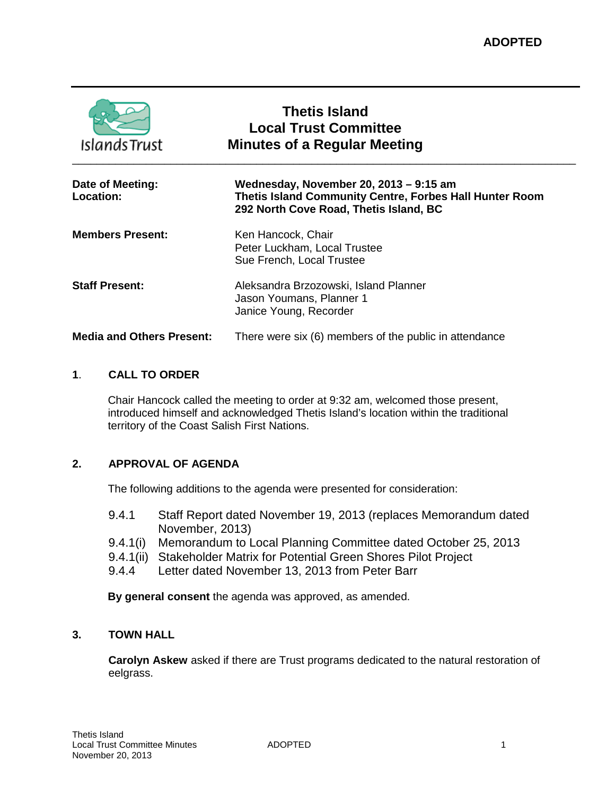| <b>Islands Trust</b>             | <b>Thetis Island</b><br><b>Local Trust Committee</b><br><b>Minutes of a Regular Meeting</b>                                                 |
|----------------------------------|---------------------------------------------------------------------------------------------------------------------------------------------|
| Date of Meeting:<br>Location:    | Wednesday, November 20, 2013 - 9:15 am<br>Thetis Island Community Centre, Forbes Hall Hunter Room<br>292 North Cove Road, Thetis Island, BC |
| <b>Members Present:</b>          | Ken Hancock, Chair<br>Peter Luckham, Local Trustee<br>Sue French, Local Trustee                                                             |
| <b>Staff Present:</b>            | Aleksandra Brzozowski, Island Planner<br>Jason Youmans, Planner 1<br>Janice Young, Recorder                                                 |
| <b>Media and Others Present:</b> | There were six (6) members of the public in attendance                                                                                      |

## **1**. **CALL TO ORDER**

Chair Hancock called the meeting to order at 9:32 am, welcomed those present, introduced himself and acknowledged Thetis Island's location within the traditional territory of the Coast Salish First Nations.

## **2. APPROVAL OF AGENDA**

The following additions to the agenda were presented for consideration:

- 9.4.1 Staff Report dated November 19, 2013 (replaces Memorandum dated November, 2013)
- 9.4.1(i) Memorandum to Local Planning Committee dated October 25, 2013
- 9.4.1(ii) Stakeholder Matrix for Potential Green Shores Pilot Project
- 9.4.4 Letter dated November 13, 2013 from Peter Barr

**By general consent** the agenda was approved, as amended.

#### **3. TOWN HALL**

**Carolyn Askew** asked if there are Trust programs dedicated to the natural restoration of eelgrass.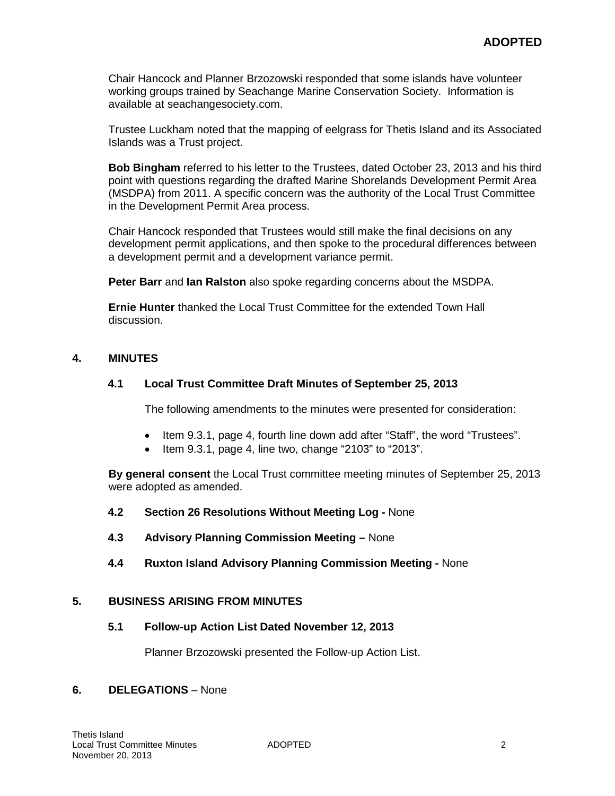Chair Hancock and Planner Brzozowski responded that some islands have volunteer working groups trained by Seachange Marine Conservation Society. Information is available at seachangesociety.com.

Trustee Luckham noted that the mapping of eelgrass for Thetis Island and its Associated Islands was a Trust project.

**Bob Bingham** referred to his letter to the Trustees, dated October 23, 2013 and his third point with questions regarding the drafted Marine Shorelands Development Permit Area (MSDPA) from 2011. A specific concern was the authority of the Local Trust Committee in the Development Permit Area process.

Chair Hancock responded that Trustees would still make the final decisions on any development permit applications, and then spoke to the procedural differences between a development permit and a development variance permit.

**Peter Barr** and **Ian Ralston** also spoke regarding concerns about the MSDPA.

**Ernie Hunter** thanked the Local Trust Committee for the extended Town Hall discussion.

#### **4. MINUTES**

#### **4.1 Local Trust Committee Draft Minutes of September 25, 2013**

The following amendments to the minutes were presented for consideration:

- Item 9.3.1, page 4, fourth line down add after "Staff", the word "Trustees".
- $\bullet$  Item 9.3.1, page 4, line two, change "2103" to "2013".

**By general consent** the Local Trust committee meeting minutes of September 25, 2013 were adopted as amended.

- **4.2 Section 26 Resolutions Without Meeting Log -** None
- **4.3 Advisory Planning Commission Meeting –** None
- **4.4 Ruxton Island Advisory Planning Commission Meeting -** None

#### **5. BUSINESS ARISING FROM MINUTES**

## **5.1 Follow-up Action List Dated November 12, 2013**

Planner Brzozowski presented the Follow-up Action List.

#### **6. DELEGATIONS** – None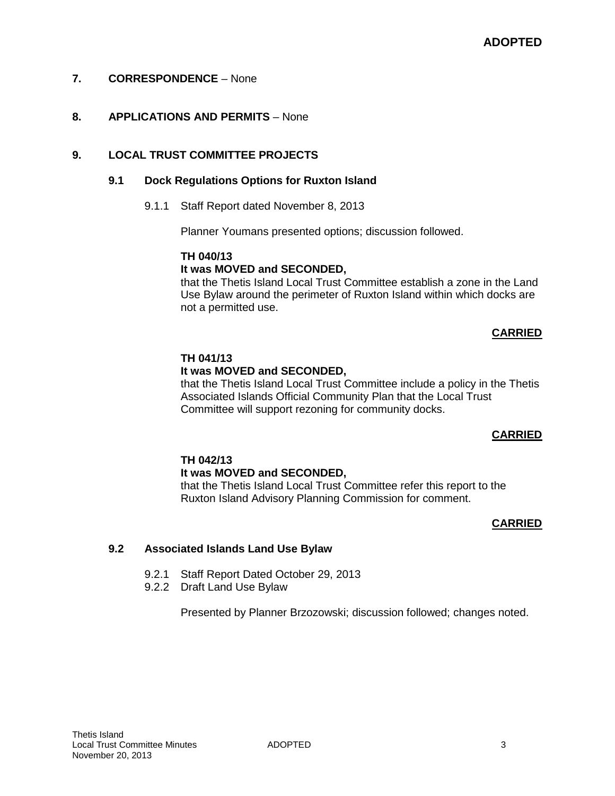## **7. CORRESPONDENCE** – None

## **8. APPLICATIONS AND PERMITS** – None

#### **9. LOCAL TRUST COMMITTEE PROJECTS**

## **9.1 Dock Regulations Options for Ruxton Island**

9.1.1 Staff Report dated November 8, 2013

Planner Youmans presented options; discussion followed.

#### **TH 040/13 It was MOVED and SECONDED,**

that the Thetis Island Local Trust Committee establish a zone in the Land Use Bylaw around the perimeter of Ruxton Island within which docks are not a permitted use.

#### **CARRIED**

#### **TH 041/13**

#### **It was MOVED and SECONDED,**

that the Thetis Island Local Trust Committee include a policy in the Thetis Associated Islands Official Community Plan that the Local Trust Committee will support rezoning for community docks.

#### **CARRIED**

## **TH 042/13**

## **It was MOVED and SECONDED,**

that the Thetis Island Local Trust Committee refer this report to the Ruxton Island Advisory Planning Commission for comment.

#### **CARRIED**

#### **9.2 Associated Islands Land Use Bylaw**

- 9.2.1 Staff Report Dated October 29, 2013
- 9.2.2 Draft Land Use Bylaw

Presented by Planner Brzozowski; discussion followed; changes noted.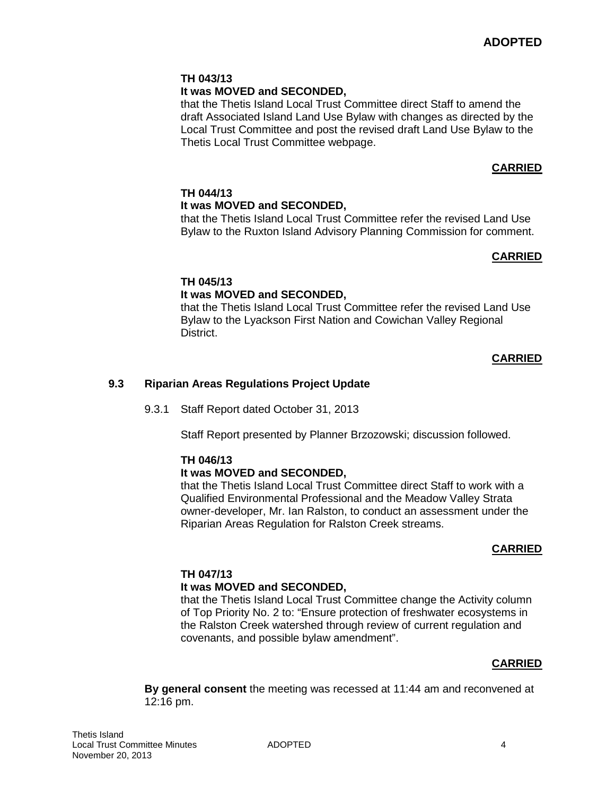## **TH 043/13**

## **It was MOVED and SECONDED,**

that the Thetis Island Local Trust Committee direct Staff to amend the draft Associated Island Land Use Bylaw with changes as directed by the Local Trust Committee and post the revised draft Land Use Bylaw to the Thetis Local Trust Committee webpage.

# **CARRIED**

#### **TH 044/13 It was MOVED and SECONDED,**

that the Thetis Island Local Trust Committee refer the revised Land Use Bylaw to the Ruxton Island Advisory Planning Commission for comment.

## **CARRIED**

# **TH 045/13**

## **It was MOVED and SECONDED,**

that the Thetis Island Local Trust Committee refer the revised Land Use Bylaw to the Lyackson First Nation and Cowichan Valley Regional District.

## **CARRIED**

## **9.3 Riparian Areas Regulations Project Update**

9.3.1 Staff Report dated October 31, 2013

Staff Report presented by Planner Brzozowski; discussion followed.

## **TH 046/13**

## **It was MOVED and SECONDED,**

that the Thetis Island Local Trust Committee direct Staff to work with a Qualified Environmental Professional and the Meadow Valley Strata owner-developer, Mr. Ian Ralston, to conduct an assessment under the Riparian Areas Regulation for Ralston Creek streams.

#### **CARRIED**

## **TH 047/13**

## **It was MOVED and SECONDED,**

that the Thetis Island Local Trust Committee change the Activity column of Top Priority No. 2 to: "Ensure protection of freshwater ecosystems in the Ralston Creek watershed through review of current regulation and covenants, and possible bylaw amendment".

## **CARRIED**

**By general consent** the meeting was recessed at 11:44 am and reconvened at 12:16 pm.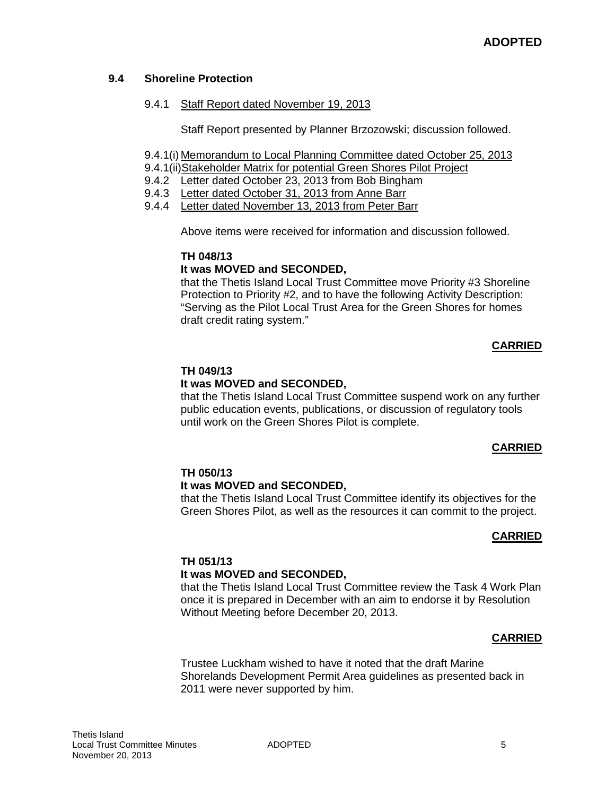## **9.4 Shoreline Protection**

#### 9.4.1 Staff Report dated November 19, 2013

Staff Report presented by Planner Brzozowski; discussion followed.

9.4.1(i) Memorandum to Local Planning Committee dated October 25, 2013

9.4.1(ii)Stakeholder Matrix for potential Green Shores Pilot Project

9.4.2 Letter dated October 23, 2013 from Bob Bingham

9.4.3 Letter dated October 31, 2013 from Anne Barr

9.4.4 Letter dated November 13, 2013 from Peter Barr

Above items were received for information and discussion followed.

#### **TH 048/13**

## **It was MOVED and SECONDED,**

that the Thetis Island Local Trust Committee move Priority #3 Shoreline Protection to Priority #2, and to have the following Activity Description: "Serving as the Pilot Local Trust Area for the Green Shores for homes draft credit rating system."

## **CARRIED**

## **TH 049/13**

## **It was MOVED and SECONDED,**

that the Thetis Island Local Trust Committee suspend work on any further public education events, publications, or discussion of regulatory tools until work on the Green Shores Pilot is complete.

## **CARRIED**

## **TH 050/13**

## **It was MOVED and SECONDED,**

that the Thetis Island Local Trust Committee identify its objectives for the Green Shores Pilot, as well as the resources it can commit to the project.

#### **CARRIED**

#### **TH 051/13 It was MOVED and SECONDED,**

that the Thetis Island Local Trust Committee review the Task 4 Work Plan once it is prepared in December with an aim to endorse it by Resolution Without Meeting before December 20, 2013.

## **CARRIED**

Trustee Luckham wished to have it noted that the draft Marine Shorelands Development Permit Area guidelines as presented back in 2011 were never supported by him.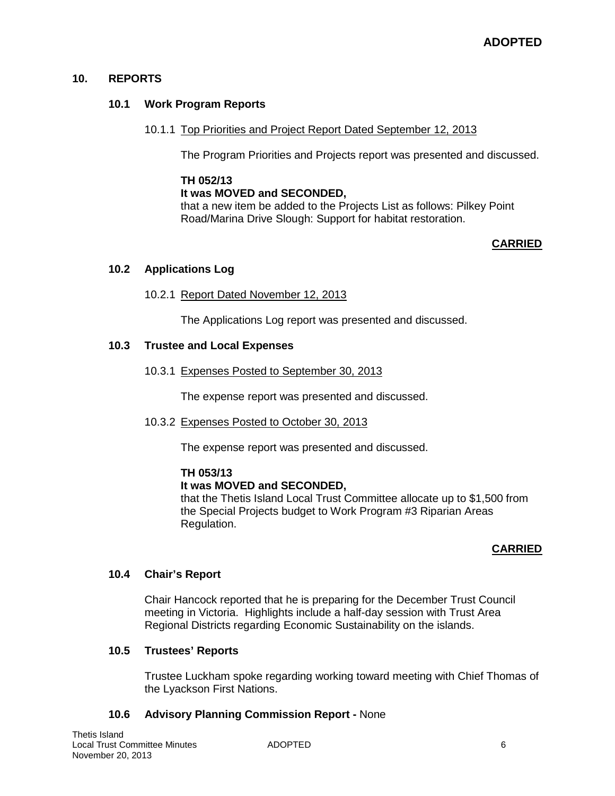## **10. REPORTS**

#### **10.1 Work Program Reports**

#### 10.1.1 Top Priorities and Project Report Dated September 12, 2013

The Program Priorities and Projects report was presented and discussed.

**TH 052/13 It was MOVED and SECONDED,** that a new item be added to the Projects List as follows: Pilkey Point Road/Marina Drive Slough: Support for habitat restoration.

## **CARRIED**

#### **10.2 Applications Log**

#### 10.2.1 Report Dated November 12, 2013

The Applications Log report was presented and discussed.

#### **10.3 Trustee and Local Expenses**

10.3.1 Expenses Posted to September 30, 2013

The expense report was presented and discussed.

10.3.2 Expenses Posted to October 30, 2013

The expense report was presented and discussed.

## **TH 053/13**

## **It was MOVED and SECONDED,**

that the Thetis Island Local Trust Committee allocate up to \$1,500 from the Special Projects budget to Work Program #3 Riparian Areas Regulation.

## **CARRIED**

## **10.4 Chair's Report**

Chair Hancock reported that he is preparing for the December Trust Council meeting in Victoria. Highlights include a half-day session with Trust Area Regional Districts regarding Economic Sustainability on the islands.

## **10.5 Trustees' Reports**

Trustee Luckham spoke regarding working toward meeting with Chief Thomas of the Lyackson First Nations.

## **10.6 Advisory Planning Commission Report -** None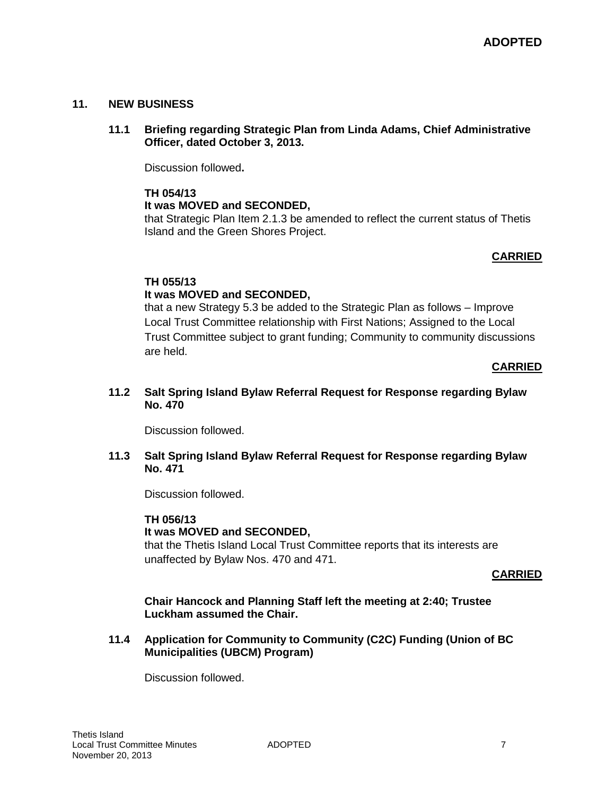## **11. NEW BUSINESS**

**11.1 Briefing regarding Strategic Plan from Linda Adams, Chief Administrative Officer, dated October 3, 2013.**

Discussion followed**.**

#### **TH 054/13**

#### **It was MOVED and SECONDED,**

that Strategic Plan Item 2.1.3 be amended to reflect the current status of Thetis Island and the Green Shores Project.

#### **CARRIED**

#### **TH 055/13**

#### **It was MOVED and SECONDED,**

that a new Strategy 5.3 be added to the Strategic Plan as follows – Improve Local Trust Committee relationship with First Nations; Assigned to the Local Trust Committee subject to grant funding; Community to community discussions are held.

#### **CARRIED**

#### **11.2 Salt Spring Island Bylaw Referral Request for Response regarding Bylaw No. 470**

Discussion followed.

#### **11.3 Salt Spring Island Bylaw Referral Request for Response regarding Bylaw No. 471**

Discussion followed.

#### **TH 056/13**

#### **It was MOVED and SECONDED,**

that the Thetis Island Local Trust Committee reports that its interests are unaffected by Bylaw Nos. 470 and 471.

#### **CARRIED**

**Chair Hancock and Planning Staff left the meeting at 2:40; Trustee Luckham assumed the Chair.**

**11.4 Application for Community to Community (C2C) Funding (Union of BC Municipalities (UBCM) Program)**

Discussion followed.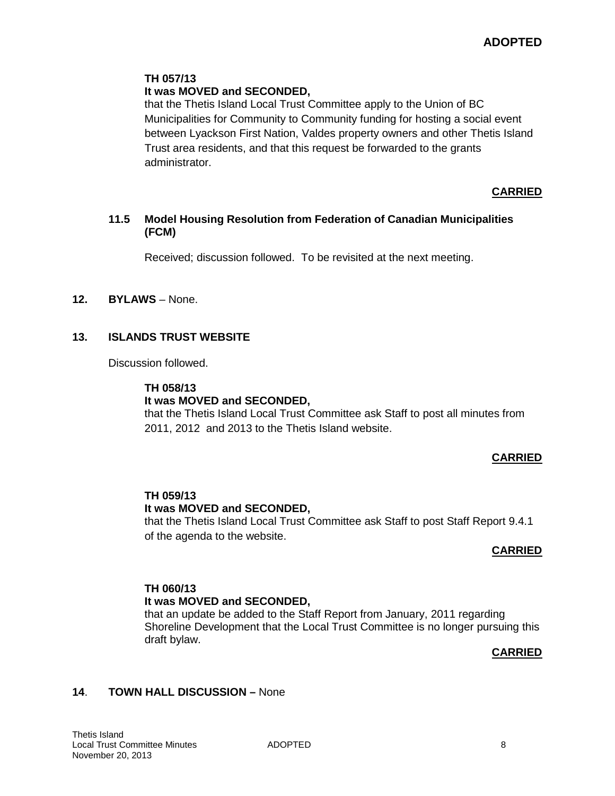## **TH 057/13**

## **It was MOVED and SECONDED,**

that the Thetis Island Local Trust Committee apply to the Union of BC Municipalities for Community to Community funding for hosting a social event between Lyackson First Nation, Valdes property owners and other Thetis Island Trust area residents, and that this request be forwarded to the grants administrator.

## **CARRIED**

## **11.5 Model Housing Resolution from Federation of Canadian Municipalities (FCM)**

Received; discussion followed. To be revisited at the next meeting.

## **12. BYLAWS** – None.

## **13. ISLANDS TRUST WEBSITE**

Discussion followed.

#### **TH 058/13**

#### **It was MOVED and SECONDED,**

that the Thetis Island Local Trust Committee ask Staff to post all minutes from 2011, 2012 and 2013 to the Thetis Island website.

#### **CARRIED**

#### **TH 059/13 It was MOVED and SECONDED,**

that the Thetis Island Local Trust Committee ask Staff to post Staff Report 9.4.1 of the agenda to the website.

## **CARRIED**

# **TH 060/13**

## **It was MOVED and SECONDED,**

that an update be added to the Staff Report from January, 2011 regarding Shoreline Development that the Local Trust Committee is no longer pursuing this draft bylaw.

#### **CARRIED**

## **14**. **TOWN HALL DISCUSSION –** None